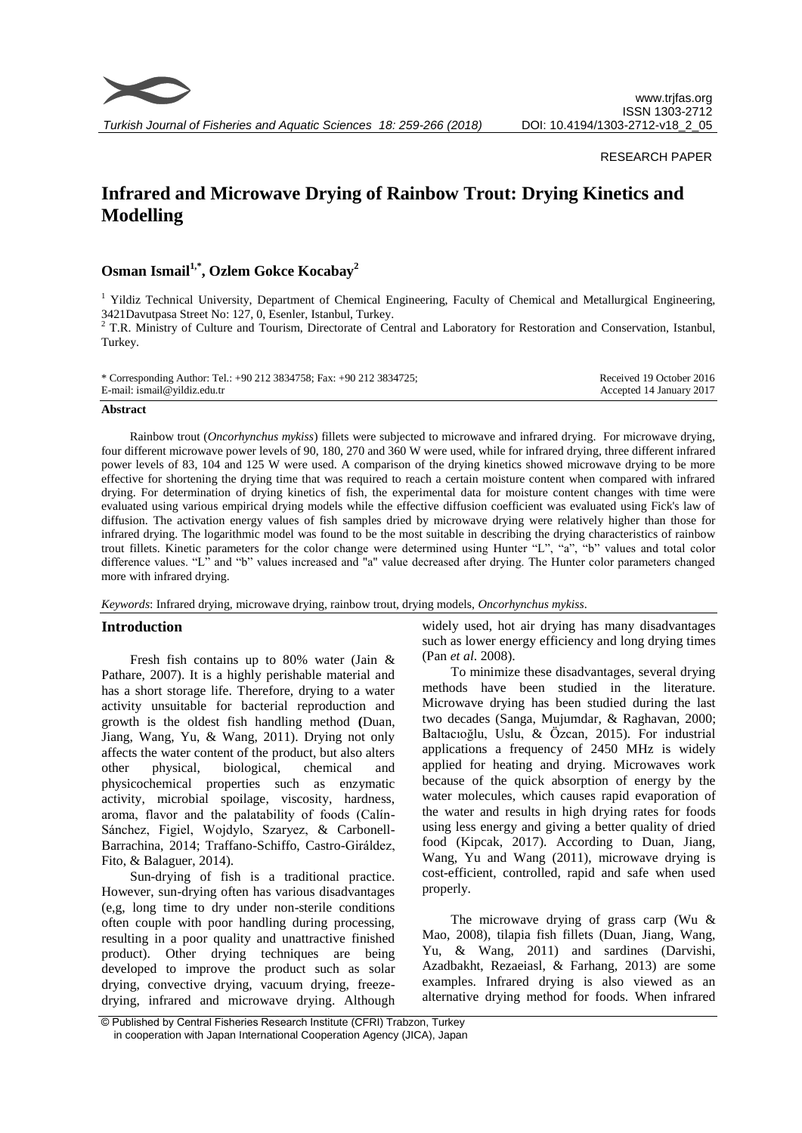

*Turkish Journal of Fisheries and Aquatic Sciences 18: 259-266 (2018)*

# RESEARCH PAPER

# **Infrared and Microwave Drying of Rainbow Trout: Drying Kinetics and Modelling**

# **Osman Ismail1,\* , Ozlem Gokce Kocabay<sup>2</sup>**

 $<sup>1</sup>$  Yildiz Technical University, Department of Chemical Engineering, Faculty of Chemical and Metallurgical Engineering,</sup> 3421Davutpasa Street No: 127, 0, Esenler, Istanbul, Turkey.

<sup>2</sup> T.R. Ministry of Culture and Tourism, Directorate of Central and Laboratory for Restoration and Conservation, Istanbul, Turkey.

| * Corresponding Author: Tel.: +90 212 3834758; Fax: +90 212 3834725; | Received 19 October 2016 |
|----------------------------------------------------------------------|--------------------------|
| E-mail: ismail@yildiz.edu.tr                                         | Accepted 14 January 2017 |

#### **Abstract**

Rainbow trout (*Oncorhynchus mykiss*) fillets were subjected to microwave and infrared drying. For microwave drying, four different microwave power levels of 90, 180, 270 and 360 W were used, while for infrared drying, three different infrared power levels of 83, 104 and 125 W were used. A comparison of the drying kinetics showed microwave drying to be more effective for shortening the drying time that was required to reach a certain moisture content when compared with infrared drying. For determination of drying kinetics of fish, the experimental data for moisture content changes with time were evaluated using various empirical drying models while the effective diffusion coefficient was evaluated using Fick's law of diffusion. The activation energy values of fish samples dried by microwave drying were relatively higher than those for infrared drying. The logarithmic model was found to be the most suitable in describing the drying characteristics of rainbow trout fillets. Kinetic parameters for the color change were determined using Hunter "L", "a", "b" values and total color difference values. "L" and "b" values increased and "a" value decreased after drying. The Hunter color parameters changed more with infrared drying.

#### *Keywords*: Infrared drying, microwave drying, rainbow trout, drying models, *Oncorhynchus mykiss*.

# **Introduction**

Fresh fish contains up to 80% water (Jain & Pathare, 2007). It is a highly perishable material and has a short storage life. Therefore, drying to a water activity unsuitable for bacterial reproduction and growth is the oldest fish handling method **(**Duan, Jiang, Wang, Yu, & Wang, 2011). Drying not only affects the water content of the product, but also alters other physical, biological, chemical and physicochemical properties such as enzymatic activity, microbial spoilage, viscosity, hardness, aroma, flavor and the palatability of foods (Calín-Sánchez, Figiel, Wojdylo, Szaryez, & Carbonell-Barrachina, 2014; Traffano-Schiffo, Castro-Giráldez, Fito, & Balaguer, 2014).

Sun-drying of fish is a traditional practice. However, sun-drying often has various disadvantages (e,g, long time to dry under non-sterile conditions often couple with poor handling during processing, resulting in a poor quality and unattractive finished product). Other drying techniques are being developed to improve the product such as solar drying, convective drying, vacuum drying, freezedrying, infrared and microwave drying. Although widely used, hot air drying has many disadvantages such as lower energy efficiency and long drying times (Pan *et al*. 2008).

To minimize these disadvantages, several drying methods have been studied in the literature. Microwave drying has been studied during the last two decades (Sanga, Mujumdar, & Raghavan, 2000; Baltacıoğlu, Uslu, & Özcan, 2015). For industrial applications a frequency of 2450 MHz is widely applied for heating and drying. Microwaves work because of the quick absorption of energy by the water molecules, which causes rapid evaporation of the water and results in high drying rates for foods using less energy and giving a better quality of dried food (Kipcak, 2017). According to Duan, Jiang, Wang, Yu and Wang (2011), microwave drying is cost-efficient, controlled, rapid and safe when used properly.

The microwave drying of grass carp (Wu & Mao, 2008), tilapia fish fillets (Duan, Jiang, Wang, Yu, & Wang, 2011) and sardines (Darvishi, Azadbakht, Rezaeiasl, & Farhang, 2013) are some examples. Infrared drying is also viewed as an alternative drying method for foods. When infrared

<sup>©</sup> Published by Central Fisheries Research Institute (CFRI) Trabzon, Turkey in cooperation with Japan International Cooperation Agency (JICA), Japan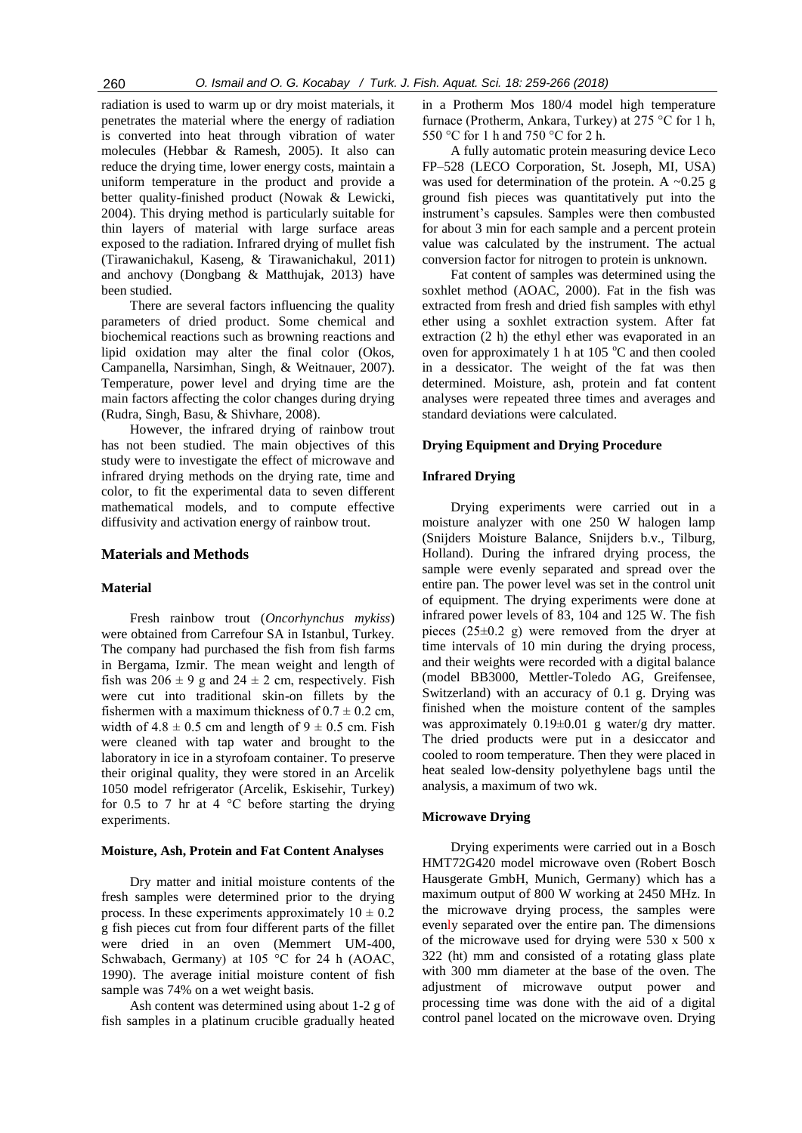radiation is used to warm up or dry moist materials, it penetrates the material where the energy of radiation is converted into heat through vibration of water molecules (Hebbar & Ramesh, 2005). It also can reduce the drying time, lower energy costs, maintain a uniform temperature in the product and provide a better quality-finished product (Nowak & Lewicki, 2004). This drying method is particularly suitable for thin layers of material with large surface areas exposed to the radiation. Infrared drying of mullet fish (Tirawanichakul, Kaseng, & Tirawanichakul, 2011) and anchovy (Dongbang & Matthujak, 2013) have been studied.

There are several factors influencing the quality parameters of dried product. Some chemical and biochemical reactions such as browning reactions and lipid oxidation may alter the final color (Okos, Campanella, Narsimhan, Singh, & Weitnauer, 2007). Temperature, power level and drying time are the main factors affecting the color changes during drying (Rudra, Singh, Basu, & Shivhare, 2008).

However, the infrared drying of rainbow trout has not been studied. The main objectives of this study were to investigate the effect of microwave and infrared drying methods on the drying rate, time and color, to fit the experimental data to seven different mathematical models, and to compute effective diffusivity and activation energy of rainbow trout.

# **Materials and Methods**

### **Material**

Fresh rainbow trout (*Oncorhynchus mykiss*) were obtained from Carrefour SA in Istanbul, Turkey. The company had purchased the fish from fish farms in Bergama, Izmir. The mean weight and length of fish was  $206 \pm 9$  g and  $24 \pm 2$  cm, respectively. Fish were cut into traditional skin-on fillets by the fishermen with a maximum thickness of  $0.7 \pm 0.2$  cm, width of  $4.8 \pm 0.5$  cm and length of  $9 \pm 0.5$  cm. Fish were cleaned with tap water and brought to the laboratory in ice in a styrofoam container. To preserve their original quality, they were stored in an Arcelik 1050 model refrigerator (Arcelik, Eskisehir, Turkey) for 0.5 to 7 hr at 4  $\degree$ C before starting the drying experiments.

#### **Moisture, Ash, Protein and Fat Content Analyses**

Dry matter and initial moisture contents of the fresh samples were determined prior to the drying process. In these experiments approximately  $10 \pm 0.2$ g fish pieces cut from four different parts of the fillet were dried in an oven (Memmert UM-400, Schwabach, Germany) at 105 °C for 24 h (AOAC, 1990). The average initial moisture content of fish sample was 74% on a wet weight basis.

Ash content was determined using about 1-2 g of fish samples in a platinum crucible gradually heated

in a Protherm Mos 180/4 model high temperature furnace (Protherm, Ankara, Turkey) at 275 °C for 1 h, 550 °C for 1 h and 750 °C for 2 h.

A fully automatic protein measuring device Leco FP–528 (LECO Corporation, St. Joseph, MI, USA) was used for determination of the protein. A  $\sim 0.25$  g ground fish pieces was quantitatively put into the instrument's capsules. Samples were then combusted for about 3 min for each sample and a percent protein value was calculated by the instrument. The actual conversion factor for nitrogen to protein is unknown.

Fat content of samples was determined using the soxhlet method (AOAC, 2000). Fat in the fish was extracted from fresh and dried fish samples with ethyl ether using a soxhlet extraction system. After fat extraction (2 h) the ethyl ether was evaporated in an oven for approximately 1 h at 105  $^{\circ}$ C and then cooled in a dessicator. The weight of the fat was then determined. Moisture, ash, protein and fat content analyses were repeated three times and averages and standard deviations were calculated.

#### **Drying Equipment and Drying Procedure**

# **Infrared Drying**

Drying experiments were carried out in a moisture analyzer with one 250 W halogen lamp (Snijders Moisture Balance, Snijders b.v., Tilburg, Holland). During the infrared drying process, the sample were evenly separated and spread over the entire pan. The power level was set in the control unit of equipment. The drying experiments were done at infrared power levels of 83, 104 and 125 W. The fish pieces  $(25\pm0.2 \text{ g})$  were removed from the dryer at time intervals of 10 min during the drying process, and their weights were recorded with a digital balance (model BB3000, Mettler-Toledo AG, Greifensee, Switzerland) with an accuracy of 0.1 g. Drying was finished when the moisture content of the samples was approximately  $0.19\pm0.01$  g water/g dry matter. The dried products were put in a desiccator and cooled to room temperature. Then they were placed in heat sealed low-density polyethylene bags until the analysis, a maximum of two wk.

#### **Microwave Drying**

Drying experiments were carried out in a Bosch HMT72G420 model microwave oven (Robert Bosch Hausgerate GmbH, Munich, Germany) which has a maximum output of 800 W working at 2450 MHz. In the microwave drying process, the samples were evenly separated over the entire pan. The dimensions of the microwave used for drying were 530 x 500 x 322 (ht) mm and consisted of a rotating glass plate with 300 mm diameter at the base of the oven. The adjustment of microwave output power and processing time was done with the aid of a digital control panel located on the microwave oven. Drying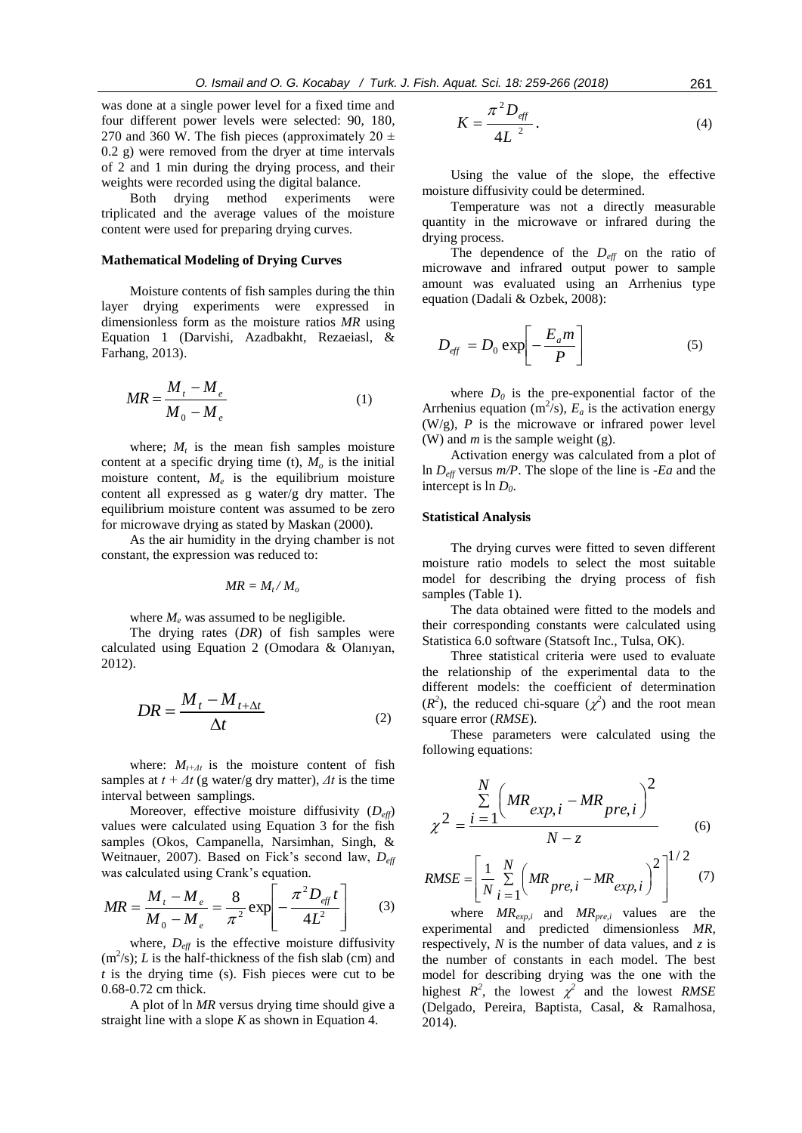was done at a single power level for a fixed time and four different power levels were selected: 90, 180, 270 and 360 W. The fish pieces (approximately 20  $\pm$ 0.2 g) were removed from the dryer at time intervals of 2 and 1 min during the drying process, and their weights were recorded using the digital balance.

Both drying method experiments were triplicated and the average values of the moisture content were used for preparing drying curves.

## **Mathematical Modeling of Drying Curves**

Moisture contents of fish samples during the thin layer drying experiments were expressed in dimensionless form as the moisture ratios *MR* using Equation 1 (Darvishi, Azadbakht, Rezaeiasl, & Farhang, 2013).

$$
MR = \frac{M_t - M_e}{M_0 - M_e} \tag{1}
$$

where;  $M_t$  is the mean fish samples moisture content at a specific drying time (t),  $M<sub>o</sub>$  is the initial moisture content,  $M_e$  is the equilibrium moisture content all expressed as g water/g dry matter. The equilibrium moisture content was assumed to be zero for microwave drying as stated by Maskan (2000).

As the air humidity in the drying chamber is not constant, the expression was reduced to:

$$
MR=M_t/M_o
$$

where  $M_e$  was assumed to be negligible.

The drying rates (*DR*) of fish samples were calculated using Equation 2 (Omodara & Olanıyan, 2012).

$$
DR = \frac{M_t - M_{t + \Delta t}}{\Delta t}
$$
 (2)

where:  $M_{t+1}$  is the moisture content of fish samples at  $t + \Delta t$  (g water/g dry matter),  $\Delta t$  is the time interval between samplings.

Moreover, effective moisture diffusivity (*Deff*) values were calculated using Equation 3 for the fish samples (Okos, Campanella, Narsimhan, Singh, & Weitnauer, 2007). Based on Fick's second law, *Deff* was calculated using Crank's equation.

$$
MR = \frac{M_t - M_e}{M_0 - M_e} = \frac{8}{\pi^2} \exp\left[-\frac{\pi^2 D_{\text{eff}} t}{4L^2}\right]
$$
 (3)

where,  $D_{\text{eff}}$  is the effective moisture diffusivity  $(m<sup>2</sup>/s)$ ; *L* is the half-thickness of the fish slab (cm) and *t* is the drying time (s). Fish pieces were cut to be 0.68-0.72 cm thick.

A plot of ln *MR* versus drying time should give a straight line with a slope *K* as shown in Equation 4.

$$
K = \frac{\pi^2 D_{\text{eff}}}{4L^2}.
$$
 (4)

Using the value of the slope, the effective moisture diffusivity could be determined.

Temperature was not a directly measurable quantity in the microwave or infrared during the drying process.

The dependence of the  $D_{\text{eff}}$  on the ratio of microwave and infrared output power to sample amount was evaluated using an Arrhenius type equation (Dadali & Ozbek, 2008):

$$
D_{\text{eff}} = D_0 \exp\left[-\frac{E_a m}{P}\right] \tag{5}
$$

where  $D_0$  is the pre-exponential factor of the Arrhenius equation ( $m^2/s$ ),  $E_a$  is the activation energy (W/g), *P* is the microwave or infrared power level (W) and *m* is the sample weight (g).

Activation energy was calculated from a plot of ln *Deff* versus *m/P*. The slope of the line is *-Ea* and the intercept is ln *D0*.

#### **Statistical Analysis**

The drying curves were fitted to seven different moisture ratio models to select the most suitable model for describing the drying process of fish samples (Table 1).

The data obtained were fitted to the models and their corresponding constants were calculated using Statistica 6.0 software (Statsoft Inc., Tulsa, OK).

Three statistical criteria were used to evaluate the relationship of the experimental data to the different models: the coefficient of determination  $(R<sup>2</sup>)$ , the reduced chi-square  $(\chi<sup>2</sup>)$  and the root mean square error (*RMSE*).

These parameters were calculated using the following equations:

$$
\chi^2 = \frac{\sum_{i=1}^{N} \left( MR_{exp,i} - MR_{pre,i} \right)^2}{N - z}
$$
(6)

$$
RMSE = \left[\frac{1}{N} \sum_{i=1}^{N} \left(MR_{pre,i} - MR_{exp,i}\right)^{2}\right]^{1/2}
$$
 (7)

where *MRexp,i* and *MRpre,i* values are the experimental and predicted dimensionless *MR*, respectively, *N* is the number of data values, and *z* is the number of constants in each model. The best model for describing drying was the one with the highest  $R^2$ , the lowest  $\chi^2$  and the lowest *RMSE* (Delgado, Pereira, Baptista, Casal, & Ramalhosa, 2014).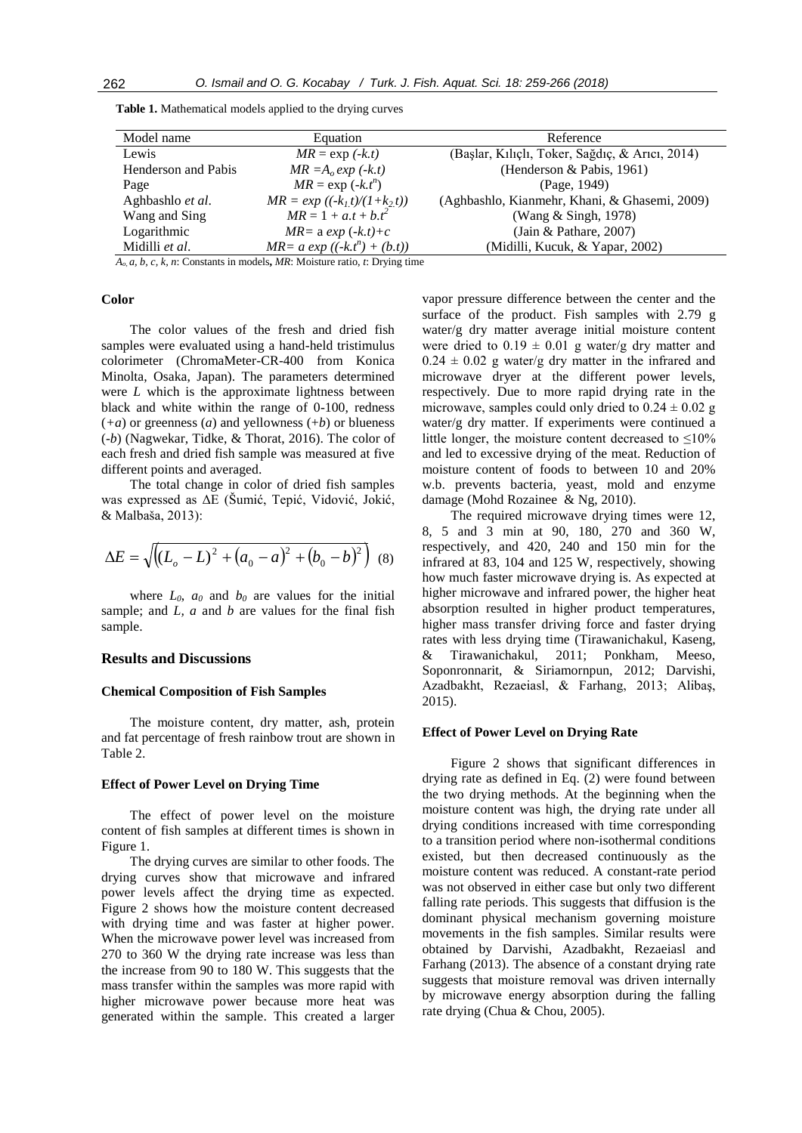| Model name                 | Equation                         | Reference                                       |
|----------------------------|----------------------------------|-------------------------------------------------|
| Lewis                      | $MR = \exp(-k.t)$                | (Başlar, Kılıçlı, Toker, Sağdıç, & Arıcı, 2014) |
| <b>Henderson and Pabis</b> | $MR = A_0 exp (+k.t)$            | (Henderson & Pabis, 1961)                       |
| Page                       | $MR = \exp(-k \cdot t^n)$        | (Page, 1949)                                    |
| Aghbashlo et al.           | $MR = exp ((-k_1 t)/(1+k_2 t))$  | (Aghbashlo, Kianmehr, Khani, & Ghasemi, 2009)   |
| Wang and Sing              | $MR = 1 + a.t + b.t^2$           | (Wang & Singh, 1978)                            |
| Logarithmic                | $MR = a \exp(-k \cdot t) + c$    | (Jain & Pathare, $2007$ )                       |
| Midilli et al.             | $MR = a \exp ((-k.t^n) + (b.t))$ | (Midilli, Kucuk, & Yapar, 2002)                 |

**Table 1.** Mathematical models applied to the drying curves

*Ao, a, b, c, k, n*: Constants in models**,** *MR*: Moisture ratio, *t*: Drying time

# **Color**

The color values of the fresh and dried fish samples were evaluated using a hand-held tristimulus colorimeter (ChromaMeter-CR-400 from Konica Minolta, Osaka, Japan). The parameters determined were *L* which is the approximate lightness between black and white within the range of 0-100, redness (*+a*) or greenness (*a*) and yellowness (+*b*) or blueness (-*b*) (Nagwekar, Tidke, & Thorat, 2016). The color of each fresh and dried fish sample was measured at five different points and averaged.

The total change in color of dried fish samples was expressed as ΔE (Šumić, Tepić, Vidović, Jokić, & Malbaša, 2013):

$$
\Delta E = \sqrt{\left((L_o - L)^2 + (a_0 - a)^2 + (b_0 - b)^2\right)} \tag{8}
$$

where  $L_0$ ,  $a_0$  and  $b_0$  are values for the initial sample; and *L, a* and *b* are values for the final fish sample.

# **Results and Discussions**

#### **Chemical Composition of Fish Samples**

The moisture content, dry matter, ash, protein and fat percentage of fresh rainbow trout are shown in Table 2.

#### **Effect of Power Level on Drying Time**

The effect of power level on the moisture content of fish samples at different times is shown in Figure 1.

The drying curves are similar to other foods. The drying curves show that microwave and infrared power levels affect the drying time as expected. Figure 2 shows how the moisture content decreased with drying time and was faster at higher power. When the microwave power level was increased from 270 to 360 W the drying rate increase was less than the increase from 90 to 180 W. This suggests that the mass transfer within the samples was more rapid with higher microwave power because more heat was generated within the sample. This created a larger vapor pressure difference between the center and the surface of the product. Fish samples with 2.79 g water/g dry matter average initial moisture content were dried to  $0.19 \pm 0.01$  g water/g dry matter and  $0.24 \pm 0.02$  g water/g dry matter in the infrared and microwave dryer at the different power levels, respectively. Due to more rapid drying rate in the microwave, samples could only dried to  $0.24 \pm 0.02$  g water/g dry matter. If experiments were continued a little longer, the moisture content decreased to ≤10% and led to excessive drying of the meat. Reduction of moisture content of foods to between 10 and 20% w.b. prevents bacteria, yeast, mold and enzyme damage (Mohd Rozainee & Ng, 2010).

The required microwave drying times were 12, 8, 5 and 3 min at 90, 180, 270 and 360 W, respectively, and 420, 240 and 150 min for the infrared at 83, 104 and 125 W, respectively, showing how much faster microwave drying is. As expected at higher microwave and infrared power, the higher heat absorption resulted in higher product temperatures, higher mass transfer driving force and faster drying rates with less drying time (Tirawanichakul, Kaseng, & Tirawanichakul, 2011; Ponkham, Meeso, Soponronnarit, & Siriamornpun, 2012; Darvishi, Azadbakht, Rezaeiasl, & Farhang, 2013; Alibaş, 2015).

#### **Effect of Power Level on Drying Rate**

Figure 2 shows that significant differences in drying rate as defined in Eq. (2) were found between the two drying methods. At the beginning when the moisture content was high, the drying rate under all drying conditions increased with time corresponding to a transition period where non-isothermal conditions existed, but then decreased continuously as the moisture content was reduced. A constant-rate period was not observed in either case but only two different falling rate periods. This suggests that diffusion is the dominant physical mechanism governing moisture movements in the fish samples. Similar results were obtained by Darvishi, Azadbakht, Rezaeiasl and Farhang (2013). The absence of a constant drying rate suggests that moisture removal was driven internally by microwave energy absorption during the falling rate drying (Chua & Chou, 2005).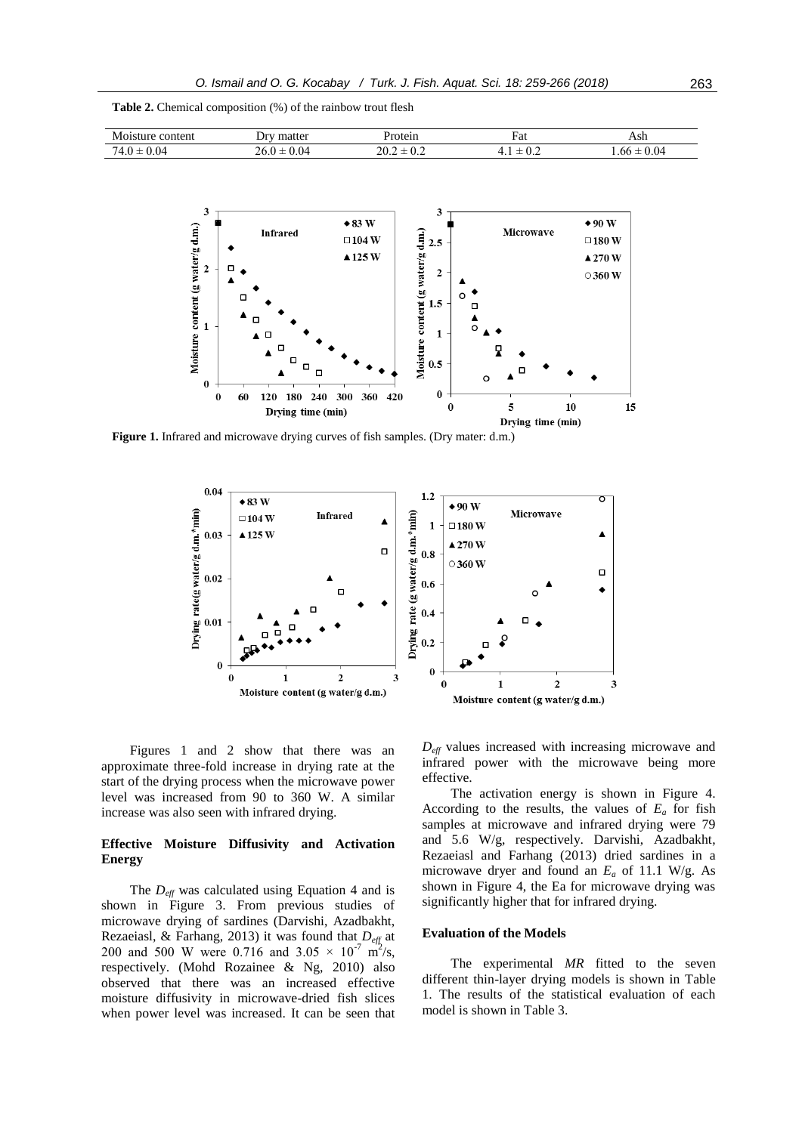|  | <b>Table 2.</b> Chemical composition (%) of the rainbow trout flesh |  |  |  |  |  |  |
|--|---------------------------------------------------------------------|--|--|--|--|--|--|
|--|---------------------------------------------------------------------|--|--|--|--|--|--|

| M<br>content<br>---<br>. | matter<br>١r٦ |     | Fat                     | ¬ы<br>$-$  |
|--------------------------|---------------|-----|-------------------------|------------|
| 0.04                     | 0.04          | 70. | $\mathsf{v}.\mathsf{v}$ | 0.04<br>hh |



**Figure 1.** Infrared and microwave drying curves of fish samples. (Dry mater: d.m.)



Figures 1 and 2 show that there was an approximate three-fold increase in drying rate at the start of the drying process when the microwave power level was increased from 90 to 360 W. A similar increase was also seen with infrared drying.

# **Effective Moisture Diffusivity and Activation Energy**

The *Deff* was calculated using Equation 4 and is shown in Figure 3. From previous studies of microwave drying of sardines (Darvishi, Azadbakht, Rezaeiasl, & Farhang, 2013) it was found that *Deff* at 200 and 500 W were 0.716 and  $3.05 \times 10^{-7}$  m<sup>2</sup>/s, respectively. (Mohd Rozainee & Ng, 2010) also observed that there was an increased effective moisture diffusivity in microwave-dried fish slices when power level was increased. It can be seen that

*Deff* values increased with increasing microwave and infrared power with the microwave being more effective.

The activation energy is shown in Figure 4. According to the results, the values of  $E_a$  for fish samples at microwave and infrared drying were 79 and 5.6 W/g, respectively. Darvishi, Azadbakht, Rezaeiasl and Farhang (2013) dried sardines in a microwave dryer and found an *E<sup>a</sup>* of 11.1 W/g. As shown in Figure 4, the Ea for microwave drying was significantly higher that for infrared drying.

# **Evaluation of the Models**

The experimental *MR* fitted to the seven different thin-layer drying models is shown in Table 1. The results of the statistical evaluation of each model is shown in Table 3.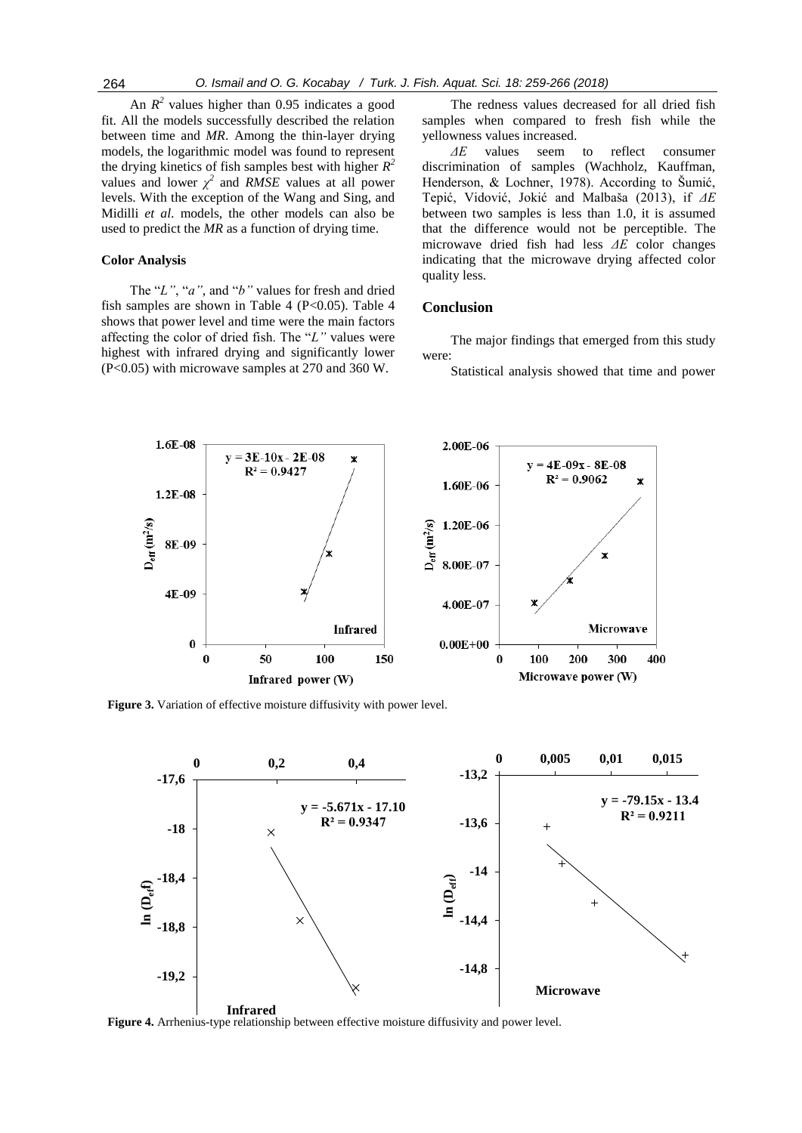An  $R^2$  values higher than 0.95 indicates a good fit. All the models successfully described the relation between time and *MR*. Among the thin-layer drying models, the logarithmic model was found to represent the drying kinetics of fish samples best with higher  $R^2$ values and lower  $\chi^2$  and *RMSE* values at all power levels. With the exception of the Wang and Sing, and Midilli *et al*. models, the other models can also be used to predict the *MR* as a function of drying time.

#### **Color Analysis**

The "*L"*, "*a"*, and "*b"* values for fresh and dried fish samples are shown in Table 4 ( $P<0.05$ ). Table 4 shows that power level and time were the main factors affecting the color of dried fish. The "*L"* values were highest with infrared drying and significantly lower (P<0.05) with microwave samples at 270 and 360 W.

The redness values decreased for all dried fish samples when compared to fresh fish while the yellowness values increased.

*ΔE* values seem to reflect consumer discrimination of samples (Wachholz, Kauffman, Henderson, & Lochner, 1978). According to Šumić, Tepić, Vidović, Jokić and Malbaša (2013), if *ΔE* between two samples is less than 1.0, it is assumed that the difference would not be perceptible. The microwave dried fish had less *ΔE* color changes indicating that the microwave drying affected color quality less.

# **Conclusion**

The major findings that emerged from this study were:

Statistical analysis showed that time and power



**Figure 3.** Variation of effective moisture diffusivity with power level.



**Figure 4.** Arrhenius-type relationship between effective moisture diffusivity and power level.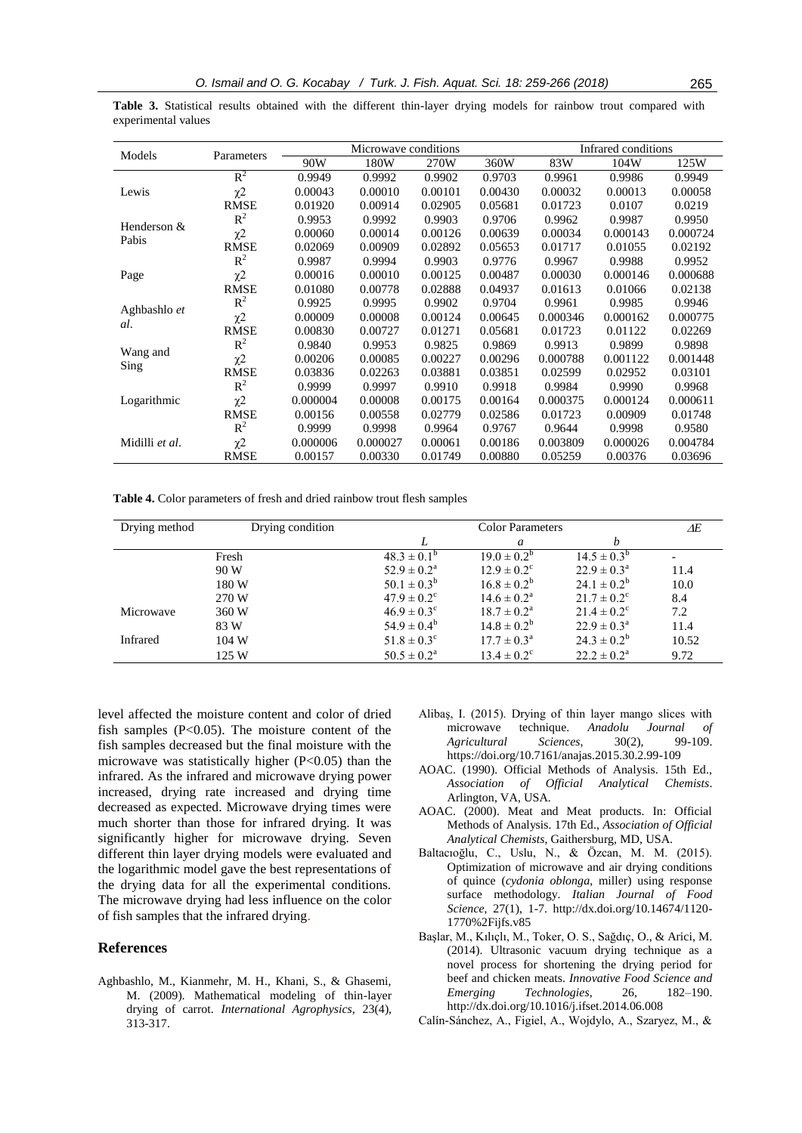**Table 3.** Statistical results obtained with the different thin-layer drying models for rainbow trout compared with experimental values

| Models              |                     | Microwave conditions |          |         | Infrared conditions |          |          |          |
|---------------------|---------------------|----------------------|----------|---------|---------------------|----------|----------|----------|
|                     | Parameters          | 90W                  | 180W     | 270W    | 360W                | 83W      | 104W     | 125W     |
|                     | $R^2$               | 0.9949               | 0.9992   | 0.9902  | 0.9703              | 0.9961   | 0.9986   | 0.9949   |
| Lewis               | $\chi$ <sup>2</sup> | 0.00043              | 0.00010  | 0.00101 | 0.00430             | 0.00032  | 0.00013  | 0.00058  |
|                     | <b>RMSE</b>         | 0.01920              | 0.00914  | 0.02905 | 0.05681             | 0.01723  | 0.0107   | 0.0219   |
| Henderson &         | $R^2$               | 0.9953               | 0.9992   | 0.9903  | 0.9706              | 0.9962   | 0.9987   | 0.9950   |
| Pabis               | $\chi$ <sup>2</sup> | 0.00060              | 0.00014  | 0.00126 | 0.00639             | 0.00034  | 0.000143 | 0.000724 |
|                     | <b>RMSE</b>         | 0.02069              | 0.00909  | 0.02892 | 0.05653             | 0.01717  | 0.01055  | 0.02192  |
|                     | $R^2$               | 0.9987               | 0.9994   | 0.9903  | 0.9776              | 0.9967   | 0.9988   | 0.9952   |
| Page                | $\chi$ <sup>2</sup> | 0.00016              | 0.00010  | 0.00125 | 0.00487             | 0.00030  | 0.000146 | 0.000688 |
|                     | <b>RMSE</b>         | 0.01080              | 0.00778  | 0.02888 | 0.04937             | 0.01613  | 0.01066  | 0.02138  |
| Aghbashlo et<br>al. | $R^2$               | 0.9925               | 0.9995   | 0.9902  | 0.9704              | 0.9961   | 0.9985   | 0.9946   |
|                     | $x^2$               | 0.00009              | 0.00008  | 0.00124 | 0.00645             | 0.000346 | 0.000162 | 0.000775 |
|                     | <b>RMSE</b>         | 0.00830              | 0.00727  | 0.01271 | 0.05681             | 0.01723  | 0.01122  | 0.02269  |
|                     | $R^2$               | 0.9840               | 0.9953   | 0.9825  | 0.9869              | 0.9913   | 0.9899   | 0.9898   |
| Wang and            | $x^2$               | 0.00206              | 0.00085  | 0.00227 | 0.00296             | 0.000788 | 0.001122 | 0.001448 |
| Sing                | <b>RMSE</b>         | 0.03836              | 0.02263  | 0.03881 | 0.03851             | 0.02599  | 0.02952  | 0.03101  |
| Logarithmic         | $R^2$               | 0.9999               | 0.9997   | 0.9910  | 0.9918              | 0.9984   | 0.9990   | 0.9968   |
|                     | $\chi$ <sup>2</sup> | 0.000004             | 0.00008  | 0.00175 | 0.00164             | 0.000375 | 0.000124 | 0.000611 |
|                     | <b>RMSE</b>         | 0.00156              | 0.00558  | 0.02779 | 0.02586             | 0.01723  | 0.00909  | 0.01748  |
| Midilli et al.      | $R^2$               | 0.9999               | 0.9998   | 0.9964  | 0.9767              | 0.9644   | 0.9998   | 0.9580   |
|                     | $\chi$ <sup>2</sup> | 0.000006             | 0.000027 | 0.00061 | 0.00186             | 0.003809 | 0.000026 | 0.004784 |
|                     | <b>RMSE</b>         | 0.00157              | 0.00330  | 0.01749 | 0.00880             | 0.05259  | 0.00376  | 0.03696  |

**Table 4.** Color parameters of fresh and dried rainbow trout flesh samples

| Drying method | Drying condition |                             | Color Parameters            |                             | ΔE    |
|---------------|------------------|-----------------------------|-----------------------------|-----------------------------|-------|
|               |                  |                             | a                           | h                           |       |
|               | Fresh            | $48.3 \pm 0.1^b$            | $19.0 \pm 0.2^b$            | $14.5 \pm 0.3^b$            |       |
|               | 90 W             | $52.9 \pm 0.2^{\rm a}$      | $12.9 \pm 0.2$ <sup>c</sup> | $22.9 \pm 0.3^{\circ}$      | 11.4  |
|               | 180 W            | $50.1 \pm 0.3^{b}$          | $16.8 \pm 0.2^b$            | $24.1 \pm 0.2^b$            | 10.0  |
|               | 270 W            | $47.9 \pm 0.2$ <sup>c</sup> | $14.6 \pm 0.2^{\rm a}$      | $21.7 \pm 0.2^{\circ}$      | 8.4   |
| Microwave     | 360 W            | $46.9 \pm 0.3^{\circ}$      | $18.7 \pm 0.2^{\rm a}$      | $21.4 \pm 0.2$ <sup>c</sup> | 7.2   |
|               | 83 W             | $54.9 \pm 0.4^b$            | $14.8 \pm 0.2^b$            | $22.9 \pm 0.3^{\rm a}$      | 11.4  |
| Infrared      | 104 W            | $51.8 \pm 0.3^{\circ}$      | $17.7 \pm 0.3^{\rm a}$      | $24.3 \pm 0.2^b$            | 10.52 |
|               | 125 W            | $50.5 \pm 0.2^{\rm a}$      | $13.4 \pm 0.2$ <sup>c</sup> | $22.2 \pm 0.2^{\rm a}$      | 9.72  |

level affected the moisture content and color of dried fish samples  $(P<0.05)$ . The moisture content of the fish samples decreased but the final moisture with the microwave was statistically higher  $(P<0.05)$  than the infrared. As the infrared and microwave drying power increased, drying rate increased and drying time decreased as expected. Microwave drying times were much shorter than those for infrared drying. It was significantly higher for microwave drying. Seven different thin layer drying models were evaluated and the logarithmic model gave the best representations of the drying data for all the experimental conditions. The microwave drying had less influence on the color of fish samples that the infrared drying.

# **References**

Aghbashlo, M., Kianmehr, M. H., Khani, S., & Ghasemi, M. (2009). Mathematical modeling of thin-layer drying of carrot. *International Agrophysics,* 23(4), 313-317.

- Alibaş, I. (2015). Drying of thin layer mango slices with microwave technique. *Anadolu Journal of Agricultural Sciences*, 30(2), https://doi.org/10.7161/anajas.2015.30.2.99-109
- AOAC. (1990). Official Methods of Analysis. 15th Ed., *Association of Official Analytical Chemists*. Arlington, VA, USA.
- AOAC. (2000). Meat and Meat products. In: Official Methods of Analysis. 17th Ed., *Association of Official Analytical Chemists,* Gaithersburg*,* MD, USA.
- Baltacıoğlu, C., Uslu, N., & Özcan, M. M. (2015). Optimization of microwave and air drying conditions of quince (*cydonia oblonga*, miller) using response surface methodology. *Italian Journal of Food Science*, 27(1), 1-7. http://dx.doi.org/10.14674/1120- 1770%2Fijfs.v85
- Başlar, M., Kılıçlı, M., Toker, O. S., Sağdıç, O., & Arici, M. (2014). Ultrasonic vacuum drying technique as a novel process for shortening the drying period for beef and chicken meats. *Innovative Food Science and Emerging Technologies*, 26, 182–190. <http://dx.doi.org/10.1016/j.ifset.2014.06.008>
- Calín-Sánchez, A., Figiel, A., Wojdylo, A., Szaryez, M., &